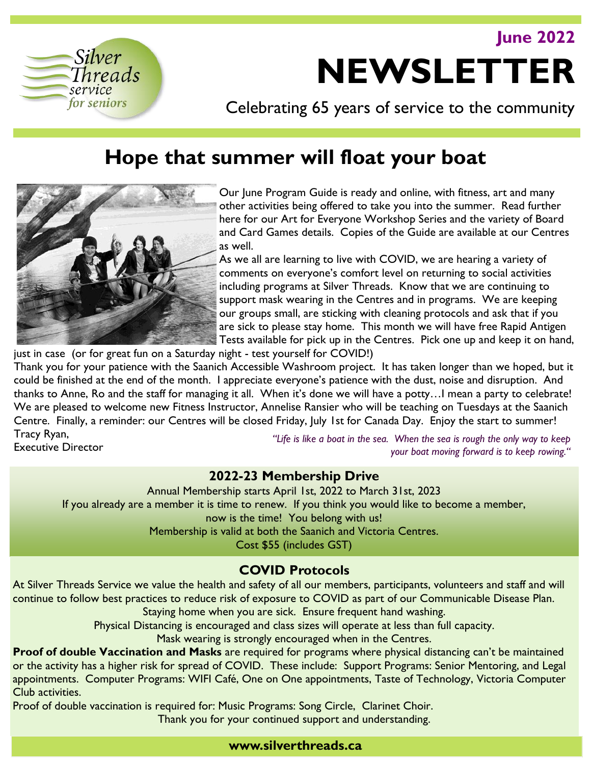**June 2022**



# **NEWSLETTER**

Celebrating 65 years of service to the community

# **Hope that summer will float your boat**



Our June Program Guide is ready and online, with fitness, art and many other activities being offered to take you into the summer. Read further here for our Art for Everyone Workshop Series and the variety of Board and Card Games details. Copies of the Guide are available at our Centres as well.

As we all are learning to live with COVID, we are hearing a variety of comments on everyone's comfort level on returning to social activities including programs at Silver Threads. Know that we are continuing to support mask wearing in the Centres and in programs. We are keeping our groups small, are sticking with cleaning protocols and ask that if you are sick to please stay home. This month we will have free Rapid Antigen Tests available for pick up in the Centres. Pick one up and keep it on hand,

just in case (or for great fun on a Saturday night - test yourself for COVID!) Thank you for your patience with the Saanich Accessible Washroom project. It has taken longer than we hoped, but it could be finished at the end of the month. I appreciate everyone's patience with the dust, noise and disruption. And thanks to Anne, Ro and the staff for managing it all. When it's done we will have a potty…I mean a party to celebrate! We are pleased to welcome new Fitness Instructor, Annelise Ransier who will be teaching on Tuesdays at the Saanich Centre. Finally, a reminder: our Centres will be closed Friday, July 1st for Canada Day. Enjoy the start to summer! Tracy Ryan,

Executive Director

*"Life is like a boat in the sea. When the sea is rough the only way to keep your boat moving forward is to keep rowing."* 

# **2022-23 Membership Drive**

Annual Membership starts April 1st, 2022 to March 31st, 2023 If you already are a member it is time to renew. If you think you would like to become a member, now is the time! You belong with us! Membership is valid at both the Saanich and Victoria Centres. Cost \$55 (includes GST)

# **COVID Protocols**

At Silver Threads Service we value the health and safety of all our members, participants, volunteers and staff and will continue to follow best practices to reduce risk of exposure to COVID as part of our Communicable Disease Plan.

Staying home when you are sick. Ensure frequent hand washing.

Physical Distancing is encouraged and class sizes will operate at less than full capacity.

Mask wearing is strongly encouraged when in the Centres.

**Proof of double Vaccination and Masks** are required for programs where physical distancing can't be maintained or the activity has a higher risk for spread of COVID. These include: Support Programs: Senior Mentoring, and Legal appointments. Computer Programs: WIFI Café, One on One appointments, Taste of Technology, Victoria Computer Club activities.

Proof of double vaccination is required for: Music Programs: Song Circle, Clarinet Choir. Thank you for your continued support and understanding.

# **www.silverthreads.ca**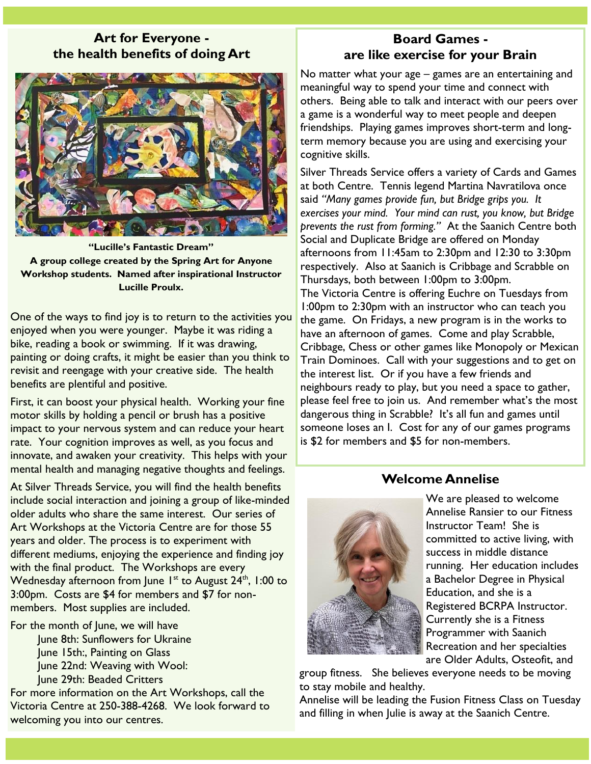#### **Art for Everyone the health benefits of doing Art**



**"Lucille's Fantastic Dream" A group college created by the Spring Art for Anyone Workshop students. Named after inspirational Instructor Lucille Proulx.** 

One of the ways to find joy is to return to the activities you enjoyed when you were younger. Maybe it was riding a bike, reading a book or swimming. If it was drawing, painting or doing crafts, it might be easier than you think to revisit and reengage with your creative side. The health benefits are plentiful and positive.

First, it can boost your physical health. Working your fine motor skills by holding a pencil or brush has a positive impact to your nervous system and can reduce your heart rate. Your cognition improves as well, as you focus and innovate, and awaken your creativity. This helps with your mental health and managing negative thoughts and feelings.

At Silver Threads Service, you will find the health benefits include social interaction and joining a group of like-minded older adults who share the same interest. Our series of Art Workshops at the Victoria Centre are for those 55 years and older. The process is to experiment with different mediums, enjoying the experience and finding joy with the final product. The Workshops are every Wednesday afternoon from June  $1^{st}$  to August  $24^{th}$ , 1:00 to 3:00pm. Costs are \$4 for members and \$7 for nonmembers. Most supplies are included.

For the month of June, we will have June 8th: Sunflowers for Ukraine June 15th:, Painting on Glass June 22nd: Weaving with Wool: June 29th: Beaded Critters

For more information on the Art Workshops, call the Victoria Centre at 250-388-4268. We look forward to welcoming you into our centres.

# **Board Games are like exercise for your Brain**

No matter what your age – games are an entertaining and meaningful way to spend your time and connect with others. Being able to talk and interact with our peers over a game is a wonderful way to meet people and deepen friendships. Playing games improves short-term and longterm memory because you are using and exercising your cognitive skills.

Silver Threads Service offers a variety of Cards and Games at both Centre. Tennis legend Martina Navratilova once said *"Many games provide fun, but Bridge grips you. It exercises your mind. Your mind can rust, you know, but Bridge prevents the rust from forming."* At the Saanich Centre both Social and Duplicate Bridge are offered on Monday afternoons from 11:45am to 2:30pm and 12:30 to 3:30pm respectively. Also at Saanich is Cribbage and Scrabble on Thursdays, both between 1:00pm to 3:00pm. The Victoria Centre is offering Euchre on Tuesdays from 1:00pm to 2:30pm with an instructor who can teach you the game. On Fridays, a new program is in the works to have an afternoon of games. Come and play Scrabble, Cribbage, Chess or other games like Monopoly or Mexican Train Dominoes. Call with your suggestions and to get on the interest list. Or if you have a few friends and neighbours ready to play, but you need a space to gather, please feel free to join us. And remember what's the most dangerous thing in Scrabble? It's all fun and games until someone loses an I. Cost for any of our games programs

# **Welcome Annelise**

is \$2 for members and \$5 for non-members.



We are pleased to welcome Annelise Ransier to our Fitness Instructor Team! She is committed to active living, with success in middle distance running. Her education includes a Bachelor Degree in Physical Education, and she is a Registered BCRPA Instructor. Currently she is a Fitness Programmer with Saanich Recreation and her specialties are Older Adults, Osteofit, and

group fitness. She believes everyone needs to be moving to stay mobile and healthy.

Annelise will be leading the Fusion Fitness Class on Tuesday and filling in when Julie is away at the Saanich Centre.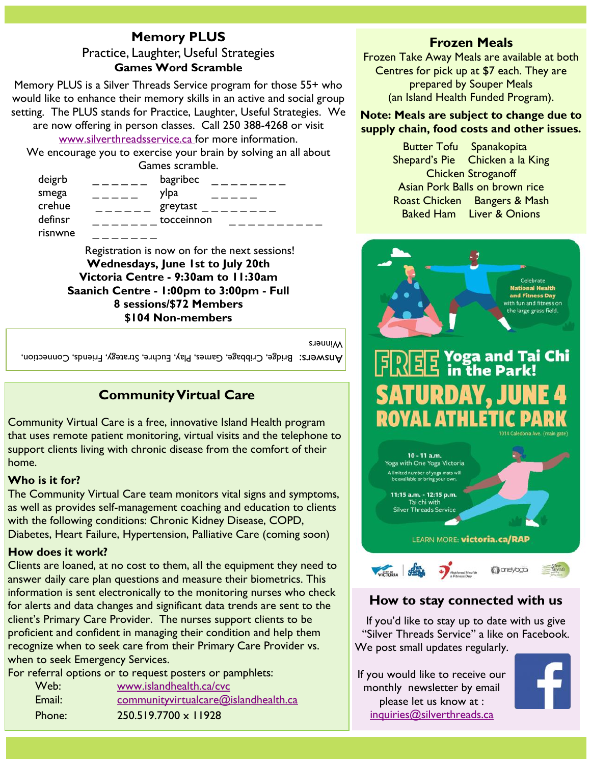# **Memory PLUS** Practice, Laughter, Useful Strategies **Games Word Scramble**

Memory PLUS is a Silver Threads Service program for those 55+ who would like to enhance their memory skills in an active and social group setting. The PLUS stands for Practice, Laughter, Useful Strategies. We

are now offering in person classes. Call 250 388-4268 or visit [www.silverthreadsservice.ca f](http://www.silverthreadsservice)or more information.

We encourage you to exercise your brain by solving an all about Games scramble.

| deigrb  | bagribec   |
|---------|------------|
|         |            |
| smega   | ylpa       |
| crehue  | greytast   |
| definsr | tocceinnon |
| risnwne |            |

Registration is now on for the next sessions! **Wednesdays, June 1st to July 20th Victoria Centre - 9:30am to 11:30am Saanich Centre - 1:00pm to 3:00pm - Full 8 sessions/\$72 Members \$104 Non-members**

Winners

Bridge, Bridge, Cribbage, Games, Play, Euchre, Strategy, Friends, Connection,

# **Community Virtual Care**

Community Virtual Care is a free, innovative Island Health program that uses remote patient monitoring, virtual visits and the telephone to support clients living with chronic disease from the comfort of their home.

#### **Who is it for?**

The Community Virtual Care team monitors vital signs and symptoms, as well as provides self-management coaching and education to clients with the following conditions: Chronic Kidney Disease, COPD, Diabetes, Heart Failure, Hypertension, Palliative Care (coming soon)

#### **How does it work?**

Clients are loaned, at no cost to them, all the equipment they need to answer daily care plan questions and measure their biometrics. This information is sent electronically to the monitoring nurses who check for alerts and data changes and significant data trends are sent to the client's Primary Care Provider. The nurses support clients to be proficient and confident in managing their condition and help them recognize when to seek care from their Primary Care Provider vs. when to seek Emergency Services.

For referral options or to request posters or pamphlets:

| Web:   | www.islandhealth.ca/cvc              |
|--------|--------------------------------------|
| Email: | communityvirtualcare@islandhealth.ca |
| Phone: | 250.519.7700 x 11928                 |

# **Frozen Meals**

Frozen Take Away Meals are available at both Centres for pick up at \$7 each. They are prepared by Souper Meals (an Island Health Funded Program).

#### **Note: Meals are subject to change due to supply chain, food costs and other issues.**

| <b>Butter Tofu Spanakopita</b> |                                 |  |  |  |
|--------------------------------|---------------------------------|--|--|--|
|                                | Shepard's Pie Chicken a la King |  |  |  |
| <b>Chicken Stroganoff</b>      |                                 |  |  |  |
| Asian Pork Balls on brown rice |                                 |  |  |  |
|                                | Roast Chicken Bangers & Mash    |  |  |  |
|                                | <b>Baked Ham</b> Liver & Onions |  |  |  |





# **How to stay connected with us**

If you'd like to stay up to date with us give "Silver Threads Service" a like on Facebook. We post small updates regularly.

If you would like to receive our monthly newsletter by email please let us know at : [inquiries@silverthreads.ca](mailto:inquiries@silverthreads.ca)